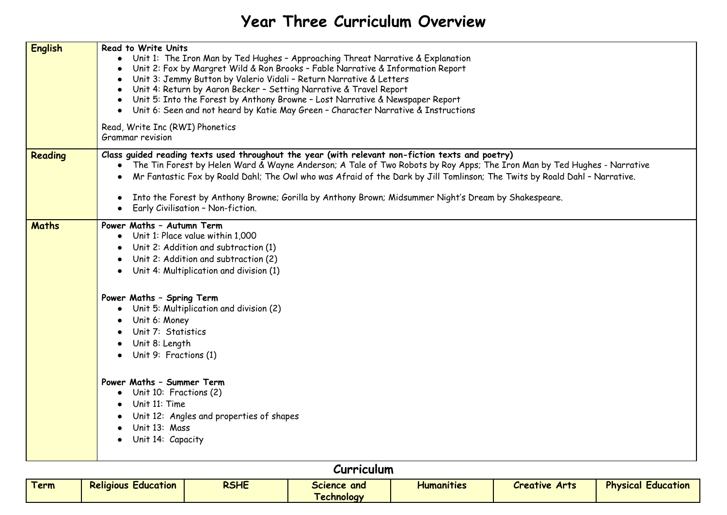## **Year Three Curriculum Overview**

| <b>English</b> | <b>Read to Write Units</b><br>Unit 1: The Iron Man by Ted Hughes - Approaching Threat Narrative & Explanation<br>Unit 2: Fox by Margret Wild & Ron Brooks - Fable Narrative & Information Report<br>Unit 3: Jemmy Button by Valerio Vidali - Return Narrative & Letters<br>Unit 4: Return by Aaron Becker - Setting Narrative & Travel Report<br>Unit 5: Into the Forest by Anthony Browne - Lost Narrative & Newspaper Report<br>Unit 6: Seen and not heard by Katie May Green - Character Narrative & Instructions<br>$\bullet$<br>Read, Write Inc (RWI) Phonetics<br>Grammar revision |
|----------------|------------------------------------------------------------------------------------------------------------------------------------------------------------------------------------------------------------------------------------------------------------------------------------------------------------------------------------------------------------------------------------------------------------------------------------------------------------------------------------------------------------------------------------------------------------------------------------------|
| Reading        | Class guided reading texts used throughout the year (with relevant non-fiction texts and poetry)<br>The Tin Forest by Helen Ward & Wayne Anderson; A Tale of Two Robots by Roy Apps; The Iron Man by Ted Hughes - Narrative<br>$\bullet$<br>Mr Fantastic Fox by Roald Dahl; The Owl who was Afraid of the Dark by Jill Tomlinson; The Twits by Roald Dahl - Narrative.<br>Into the Forest by Anthony Browne; Gorilla by Anthony Brown; Midsummer Night's Dream by Shakespeare.<br>Early Civilisation - Non-fiction.                                                                      |
| <b>Maths</b>   | Power Maths - Autumn Term<br>Unit 1: Place value within 1,000<br>Unit 2: Addition and subtraction (1)<br>Unit 2: Addition and subtraction (2)<br>Unit 4: Multiplication and division (1)<br>Power Maths - Spring Term<br>Unit 5: Multiplication and division (2)<br>Unit 6: Money<br>Unit 7: Statistics<br>Unit 8: Length<br>Unit 9: Fractions (1)<br>Power Maths - Summer Term<br>Unit 10: Fractions (2)<br>$\bullet$<br>Unit 11: Time<br>Unit 12: Angles and properties of shapes<br>Unit 13: Mass<br>Unit 14: Capacity                                                                |

## **Curriculum**

| <u>Term</u> | --<br><b>Religious</b><br>Education | <b>RSHE</b> | Science and       | $\bullet\text{ -- } \bullet$<br><b>Humanities</b> | <b>Arts</b><br><b>Creative</b> | <b>Physical</b><br>Education |
|-------------|-------------------------------------|-------------|-------------------|---------------------------------------------------|--------------------------------|------------------------------|
|             |                                     |             | <b>Lechnology</b> |                                                   |                                |                              |